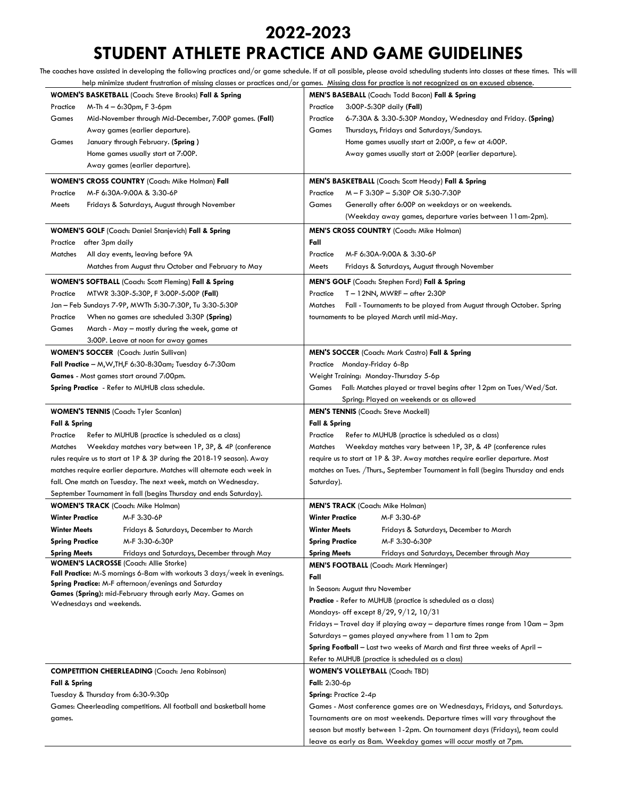## **2022-2023**

# **STUDENT ATHLETE PRACTICE AND GAME GUIDELINES**

The coaches have assisted in developing the following practices and/or game schedule. If at all possible, please avoid scheduling students into classes at these times. This will

| help minimize student frustration of missing classes or practices and/or games. Missing class for practice is not recognized as an excused absence. |                                                                                              |                                                                                                                                 |                                                  |                                                                                  |  |  |
|-----------------------------------------------------------------------------------------------------------------------------------------------------|----------------------------------------------------------------------------------------------|---------------------------------------------------------------------------------------------------------------------------------|--------------------------------------------------|----------------------------------------------------------------------------------|--|--|
| <b>WOMEN'S BASKETBALL</b> (Coach: Steve Brooks) Fall & Spring                                                                                       |                                                                                              |                                                                                                                                 | MEN'S BASEBALL (Coach: Todd Bacon) Fall & Spring |                                                                                  |  |  |
| Practice                                                                                                                                            | M-Th 4 – 6:30pm, F 3-6pm                                                                     | Practice                                                                                                                        |                                                  | 3:00P-5:30P daily (Fall)                                                         |  |  |
| Games                                                                                                                                               | Mid-November through Mid-December, 7:00P games. (Fall)                                       | Practice                                                                                                                        |                                                  | 6-7:30A & 3:30-5:30P Monday, Wednesday and Friday. (Spring)                      |  |  |
|                                                                                                                                                     | Away games (earlier departure).                                                              | Games                                                                                                                           |                                                  | Thursdays, Fridays and Saturdays/Sundays.                                        |  |  |
| Games                                                                                                                                               | January through February. (Spring)                                                           |                                                                                                                                 |                                                  | Home games usually start at 2:00P, a few at 4:00P.                               |  |  |
|                                                                                                                                                     | Home games usually start at 7:00P.                                                           |                                                                                                                                 |                                                  | Away games usually start at 2:00P (earlier departure).                           |  |  |
|                                                                                                                                                     | Away games (earlier departure).                                                              |                                                                                                                                 |                                                  |                                                                                  |  |  |
| <b>WOMEN'S CROSS COUNTRY (Coach: Mike Holman) Fall</b>                                                                                              |                                                                                              | MEN'S BASKETBALL (Coach: Scott Heady) Fall & Spring                                                                             |                                                  |                                                                                  |  |  |
| Practice                                                                                                                                            | M-F 6:30A-9:00A & 3:30-6P                                                                    | Practice                                                                                                                        |                                                  | M - F 3:30P - 5:30P OR 5:30-7:30P                                                |  |  |
| Meets                                                                                                                                               | Fridays & Saturdays, August through November                                                 | Games                                                                                                                           |                                                  | Generally after 6:00P on weekdays or on weekends.                                |  |  |
|                                                                                                                                                     |                                                                                              |                                                                                                                                 |                                                  | (Weekday away games, departure varies between 11 am-2pm).                        |  |  |
| WOMEN'S GOLF (Coach: Daniel Stanjevich) Fall & Spring                                                                                               |                                                                                              | <b>MEN'S CROSS COUNTRY (Coach: Mike Holman)</b>                                                                                 |                                                  |                                                                                  |  |  |
| Practice after 3pm daily                                                                                                                            |                                                                                              | Fall                                                                                                                            |                                                  |                                                                                  |  |  |
| Matches                                                                                                                                             | All day events, leaving before 9A                                                            | Practice                                                                                                                        |                                                  | M-F 6:30A-9:00A & 3:30-6P                                                        |  |  |
|                                                                                                                                                     | Matches from August thru October and February to May                                         | Meets                                                                                                                           |                                                  | Fridays & Saturdays, August through November                                     |  |  |
|                                                                                                                                                     | WOMEN'S SOFTBALL (Coach: Scott Fleming) Fall & Spring                                        |                                                                                                                                 |                                                  | MEN'S GOLF (Coach: Stephen Ford) Fall & Spring                                   |  |  |
| Practice                                                                                                                                            | MTWR 3:30P-5:30P, F 3:00P-5:00P (Fall)                                                       | Practice                                                                                                                        |                                                  | T – 12NN, MWRF – after 2:30P                                                     |  |  |
|                                                                                                                                                     | Jan - Feb Sundays 7-9P, MWTh 5:30-7:30P, Tu 3:30-5:30P                                       | Matches                                                                                                                         |                                                  | Fall - Tournaments to be played from August through October. Spring              |  |  |
| Practice                                                                                                                                            | When no games are scheduled 3:30P (Spring)                                                   |                                                                                                                                 |                                                  | tournaments to be played March until mid-May.                                    |  |  |
| Games                                                                                                                                               | March - May - mostly during the week, game at                                                |                                                                                                                                 |                                                  |                                                                                  |  |  |
|                                                                                                                                                     | 3:00P. Leave at noon for away games                                                          |                                                                                                                                 |                                                  |                                                                                  |  |  |
|                                                                                                                                                     | <b>WOMEN'S SOCCER</b> (Coach: Justin Sullivan)                                               |                                                                                                                                 |                                                  | <b>MEN'S SOCCER</b> (Coach: Mark Castro) Fall & Spring                           |  |  |
| Fall Practice - $M, W, TH, F$ 6:30-8:30am; Tuesday 6-7:30am                                                                                         |                                                                                              | Practice Monday-Friday 6-8p                                                                                                     |                                                  |                                                                                  |  |  |
| Games - Most games start around 7:00pm.                                                                                                             |                                                                                              | Weight Training: Monday-Thursday 5-6p                                                                                           |                                                  |                                                                                  |  |  |
|                                                                                                                                                     | Spring Practice - Refer to MUHUB class schedule.                                             | Games Fall: Matches played or travel begins after 12pm on Tues/Wed/Sat.                                                         |                                                  |                                                                                  |  |  |
|                                                                                                                                                     |                                                                                              |                                                                                                                                 |                                                  | Spring: Played on weekends or as allowed                                         |  |  |
|                                                                                                                                                     | <b>WOMEN'S TENNIS</b> (Coach: Tyler Scanlan)                                                 |                                                                                                                                 |                                                  | <b>MEN'S TENNIS (Coach: Steve Mackell)</b>                                       |  |  |
| <b>Fall &amp; Spring</b>                                                                                                                            |                                                                                              | <b>Fall &amp; Spring</b>                                                                                                        |                                                  |                                                                                  |  |  |
| Refer to MUHUB (practice is scheduled as a class)<br>Practice                                                                                       |                                                                                              | Refer to MUHUB (practice is scheduled as a class)<br>Practice                                                                   |                                                  |                                                                                  |  |  |
| Matches<br>Weekday matches vary between 1P, 3P, & 4P (conference                                                                                    |                                                                                              | Matches<br>Weekday matches vary between 1P, 3P, & 4P (conference rules                                                          |                                                  |                                                                                  |  |  |
| rules require us to start at 1P & 3P during the 2018-19 season). Away                                                                               |                                                                                              | require us to start at 1P & 3P. Away matches require earlier departure. Most                                                    |                                                  |                                                                                  |  |  |
|                                                                                                                                                     | matches require earlier departure. Matches will alternate each week in                       |                                                                                                                                 |                                                  | matches on Tues. /Thurs., September Tournament in fall (begins Thursday and ends |  |  |
|                                                                                                                                                     | fall. One match on Tuesday. The next week, match on Wednesday.                               |                                                                                                                                 | Saturday).                                       |                                                                                  |  |  |
| September Tournament in fall (begins Thursday and ends Saturday).                                                                                   |                                                                                              |                                                                                                                                 |                                                  |                                                                                  |  |  |
|                                                                                                                                                     | <b>WOMEN'S TRACK</b> (Coach: Mike Holman)                                                    |                                                                                                                                 |                                                  | <b>MEN'S TRACK</b> (Coach: Mike Holman)                                          |  |  |
| <b>Winter Practice</b>                                                                                                                              | M-F 3:30-6P                                                                                  | <b>Winter Practice</b>                                                                                                          |                                                  | M-F 3:30-6P                                                                      |  |  |
| Winter Meets                                                                                                                                        | Fridays & Saturdays, December to March                                                       | Winter Meets                                                                                                                    |                                                  | Fridays & Saturdays, December to March                                           |  |  |
| <b>Spring Practice</b>                                                                                                                              | M-F 3:30-6:30P                                                                               | <b>Spring Practice</b>                                                                                                          |                                                  | M-F 3:30-6:30P                                                                   |  |  |
| <b>Spring Meets</b>                                                                                                                                 | Fridays and Saturdays, December through May<br><b>WOMEN'S LACROSSE</b> (Coach: Allie Storke) | <b>Spring Meets</b>                                                                                                             |                                                  | Fridays and Saturdays, December through May                                      |  |  |
|                                                                                                                                                     | Fall Practice: M-S mornings 6-8am with workouts 3 days/week in evenings.                     |                                                                                                                                 |                                                  | <b>MEN'S FOOTBALL (Coach: Mark Henninger)</b>                                    |  |  |
| Spring Practice: M-F afternoon/evenings and Saturday                                                                                                |                                                                                              | Fall                                                                                                                            |                                                  |                                                                                  |  |  |
| Games (Spring): mid-February through early May. Games on                                                                                            |                                                                                              | In Season: August thru November                                                                                                 |                                                  |                                                                                  |  |  |
| Wednesdays and weekends.                                                                                                                            |                                                                                              | <b>Practice</b> - Refer to MUHUB (practice is scheduled as a class)<br>Mondays- off except 8/29, 9/12, 10/31                    |                                                  |                                                                                  |  |  |
|                                                                                                                                                     |                                                                                              |                                                                                                                                 |                                                  |                                                                                  |  |  |
|                                                                                                                                                     |                                                                                              | Fridays - Travel day if playing away - departure times range from 10am - 3pm                                                    |                                                  |                                                                                  |  |  |
|                                                                                                                                                     |                                                                                              | Saturdays - games played anywhere from 11am to 2pm                                                                              |                                                  |                                                                                  |  |  |
|                                                                                                                                                     |                                                                                              | Spring Football - Last two weeks of March and first three weeks of April -<br>Refer to MUHUB (practice is scheduled as a class) |                                                  |                                                                                  |  |  |
|                                                                                                                                                     |                                                                                              |                                                                                                                                 |                                                  |                                                                                  |  |  |
| <b>COMPETITION CHEERLEADING</b> (Coach: Jena Robinson)                                                                                              |                                                                                              | <b>WOMEN'S VOLLEYBALL (Coach: TBD)</b>                                                                                          |                                                  |                                                                                  |  |  |
| <b>Fall &amp; Spring</b>                                                                                                                            |                                                                                              | Fall: $2:30-6p$                                                                                                                 |                                                  |                                                                                  |  |  |
| Tuesday & Thursday from 6:30-9:30p<br>Games: Cheerleading competitions. All football and basketball home                                            |                                                                                              | Spring: Practice 2-4p<br>Games - Most conference games are on Wednesdays, Fridays, and Saturdays.                               |                                                  |                                                                                  |  |  |
| games.                                                                                                                                              |                                                                                              | Tournaments are on most weekends. Departure times will vary throughout the                                                      |                                                  |                                                                                  |  |  |
|                                                                                                                                                     |                                                                                              | season but mostly between 1-2pm. On tournament days (Fridays), team could                                                       |                                                  |                                                                                  |  |  |
|                                                                                                                                                     |                                                                                              |                                                                                                                                 |                                                  | leave as early as 8am. Weekday games will occur mostly at 7pm.                   |  |  |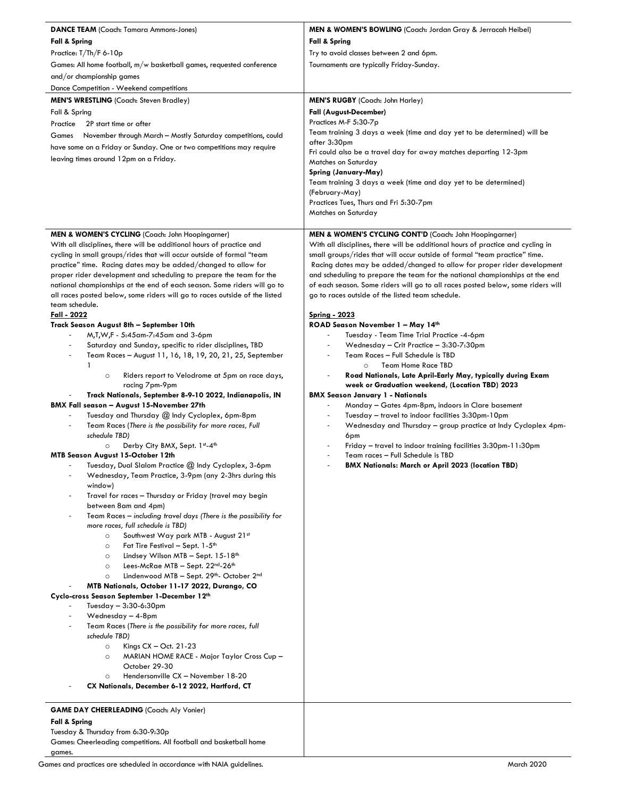| <b>DANCE TEAM</b> (Coach: Tamara Ammons-Jones)                                                                                                                                                                                                                                                                                                                                                                                                                                                                                                                                                                                                                                                                                                                                                                                                                                                                                                                                                                                                                                                                                                                                                                                                                                                                                                                                                                                                                                                                                                                                                                                                                                                                                                                                                                                                                                                                                                                                                                                                                                                                                                              | <b>MEN &amp; WOMEN'S BOWLING</b> (Coach: Jordan Gray & Jerracah Heibel)                                                                                                                                                                                                                                                                                                                                                                                                                                                                                                                                                                                                                                                                                                                                                                                                                                                                                                                                                                                                                                                                                                                                                                                                       |  |  |
|-------------------------------------------------------------------------------------------------------------------------------------------------------------------------------------------------------------------------------------------------------------------------------------------------------------------------------------------------------------------------------------------------------------------------------------------------------------------------------------------------------------------------------------------------------------------------------------------------------------------------------------------------------------------------------------------------------------------------------------------------------------------------------------------------------------------------------------------------------------------------------------------------------------------------------------------------------------------------------------------------------------------------------------------------------------------------------------------------------------------------------------------------------------------------------------------------------------------------------------------------------------------------------------------------------------------------------------------------------------------------------------------------------------------------------------------------------------------------------------------------------------------------------------------------------------------------------------------------------------------------------------------------------------------------------------------------------------------------------------------------------------------------------------------------------------------------------------------------------------------------------------------------------------------------------------------------------------------------------------------------------------------------------------------------------------------------------------------------------------------------------------------------------------|-------------------------------------------------------------------------------------------------------------------------------------------------------------------------------------------------------------------------------------------------------------------------------------------------------------------------------------------------------------------------------------------------------------------------------------------------------------------------------------------------------------------------------------------------------------------------------------------------------------------------------------------------------------------------------------------------------------------------------------------------------------------------------------------------------------------------------------------------------------------------------------------------------------------------------------------------------------------------------------------------------------------------------------------------------------------------------------------------------------------------------------------------------------------------------------------------------------------------------------------------------------------------------|--|--|
| <b>Fall &amp; Spring</b>                                                                                                                                                                                                                                                                                                                                                                                                                                                                                                                                                                                                                                                                                                                                                                                                                                                                                                                                                                                                                                                                                                                                                                                                                                                                                                                                                                                                                                                                                                                                                                                                                                                                                                                                                                                                                                                                                                                                                                                                                                                                                                                                    | <b>Fall &amp; Spring</b>                                                                                                                                                                                                                                                                                                                                                                                                                                                                                                                                                                                                                                                                                                                                                                                                                                                                                                                                                                                                                                                                                                                                                                                                                                                      |  |  |
| Practice: T/Th/F 6-10p                                                                                                                                                                                                                                                                                                                                                                                                                                                                                                                                                                                                                                                                                                                                                                                                                                                                                                                                                                                                                                                                                                                                                                                                                                                                                                                                                                                                                                                                                                                                                                                                                                                                                                                                                                                                                                                                                                                                                                                                                                                                                                                                      | Try to avoid classes between 2 and 6pm.                                                                                                                                                                                                                                                                                                                                                                                                                                                                                                                                                                                                                                                                                                                                                                                                                                                                                                                                                                                                                                                                                                                                                                                                                                       |  |  |
| Games: All home football, m/w basketball games, requested conference                                                                                                                                                                                                                                                                                                                                                                                                                                                                                                                                                                                                                                                                                                                                                                                                                                                                                                                                                                                                                                                                                                                                                                                                                                                                                                                                                                                                                                                                                                                                                                                                                                                                                                                                                                                                                                                                                                                                                                                                                                                                                        | Tournaments are typically Friday-Sunday.                                                                                                                                                                                                                                                                                                                                                                                                                                                                                                                                                                                                                                                                                                                                                                                                                                                                                                                                                                                                                                                                                                                                                                                                                                      |  |  |
| and/or championship games                                                                                                                                                                                                                                                                                                                                                                                                                                                                                                                                                                                                                                                                                                                                                                                                                                                                                                                                                                                                                                                                                                                                                                                                                                                                                                                                                                                                                                                                                                                                                                                                                                                                                                                                                                                                                                                                                                                                                                                                                                                                                                                                   |                                                                                                                                                                                                                                                                                                                                                                                                                                                                                                                                                                                                                                                                                                                                                                                                                                                                                                                                                                                                                                                                                                                                                                                                                                                                               |  |  |
| Dance Competition - Weekend competitions                                                                                                                                                                                                                                                                                                                                                                                                                                                                                                                                                                                                                                                                                                                                                                                                                                                                                                                                                                                                                                                                                                                                                                                                                                                                                                                                                                                                                                                                                                                                                                                                                                                                                                                                                                                                                                                                                                                                                                                                                                                                                                                    |                                                                                                                                                                                                                                                                                                                                                                                                                                                                                                                                                                                                                                                                                                                                                                                                                                                                                                                                                                                                                                                                                                                                                                                                                                                                               |  |  |
| <b>MEN'S WRESTLING</b> (Coach: Steven Bradley)                                                                                                                                                                                                                                                                                                                                                                                                                                                                                                                                                                                                                                                                                                                                                                                                                                                                                                                                                                                                                                                                                                                                                                                                                                                                                                                                                                                                                                                                                                                                                                                                                                                                                                                                                                                                                                                                                                                                                                                                                                                                                                              | MEN'S RUGBY (Coach: John Harley)                                                                                                                                                                                                                                                                                                                                                                                                                                                                                                                                                                                                                                                                                                                                                                                                                                                                                                                                                                                                                                                                                                                                                                                                                                              |  |  |
| Fall & Spring                                                                                                                                                                                                                                                                                                                                                                                                                                                                                                                                                                                                                                                                                                                                                                                                                                                                                                                                                                                                                                                                                                                                                                                                                                                                                                                                                                                                                                                                                                                                                                                                                                                                                                                                                                                                                                                                                                                                                                                                                                                                                                                                               | <b>Fall (August-December)</b>                                                                                                                                                                                                                                                                                                                                                                                                                                                                                                                                                                                                                                                                                                                                                                                                                                                                                                                                                                                                                                                                                                                                                                                                                                                 |  |  |
| Practice<br>2P start time or after                                                                                                                                                                                                                                                                                                                                                                                                                                                                                                                                                                                                                                                                                                                                                                                                                                                                                                                                                                                                                                                                                                                                                                                                                                                                                                                                                                                                                                                                                                                                                                                                                                                                                                                                                                                                                                                                                                                                                                                                                                                                                                                          | Practices M-F 5:30-7p                                                                                                                                                                                                                                                                                                                                                                                                                                                                                                                                                                                                                                                                                                                                                                                                                                                                                                                                                                                                                                                                                                                                                                                                                                                         |  |  |
| November through March - Mostly Saturday competitions, could<br>Games                                                                                                                                                                                                                                                                                                                                                                                                                                                                                                                                                                                                                                                                                                                                                                                                                                                                                                                                                                                                                                                                                                                                                                                                                                                                                                                                                                                                                                                                                                                                                                                                                                                                                                                                                                                                                                                                                                                                                                                                                                                                                       | Team training 3 days a week (time and day yet to be determined) will be                                                                                                                                                                                                                                                                                                                                                                                                                                                                                                                                                                                                                                                                                                                                                                                                                                                                                                                                                                                                                                                                                                                                                                                                       |  |  |
| have some on a Friday or Sunday. One or two competitions may require                                                                                                                                                                                                                                                                                                                                                                                                                                                                                                                                                                                                                                                                                                                                                                                                                                                                                                                                                                                                                                                                                                                                                                                                                                                                                                                                                                                                                                                                                                                                                                                                                                                                                                                                                                                                                                                                                                                                                                                                                                                                                        | after 3:30pm<br>Fri could also be a travel day for away matches departing 12-3pm                                                                                                                                                                                                                                                                                                                                                                                                                                                                                                                                                                                                                                                                                                                                                                                                                                                                                                                                                                                                                                                                                                                                                                                              |  |  |
| leaving times around 12pm on a Friday.                                                                                                                                                                                                                                                                                                                                                                                                                                                                                                                                                                                                                                                                                                                                                                                                                                                                                                                                                                                                                                                                                                                                                                                                                                                                                                                                                                                                                                                                                                                                                                                                                                                                                                                                                                                                                                                                                                                                                                                                                                                                                                                      | Matches on Saturday                                                                                                                                                                                                                                                                                                                                                                                                                                                                                                                                                                                                                                                                                                                                                                                                                                                                                                                                                                                                                                                                                                                                                                                                                                                           |  |  |
|                                                                                                                                                                                                                                                                                                                                                                                                                                                                                                                                                                                                                                                                                                                                                                                                                                                                                                                                                                                                                                                                                                                                                                                                                                                                                                                                                                                                                                                                                                                                                                                                                                                                                                                                                                                                                                                                                                                                                                                                                                                                                                                                                             | Spring (January-May)                                                                                                                                                                                                                                                                                                                                                                                                                                                                                                                                                                                                                                                                                                                                                                                                                                                                                                                                                                                                                                                                                                                                                                                                                                                          |  |  |
|                                                                                                                                                                                                                                                                                                                                                                                                                                                                                                                                                                                                                                                                                                                                                                                                                                                                                                                                                                                                                                                                                                                                                                                                                                                                                                                                                                                                                                                                                                                                                                                                                                                                                                                                                                                                                                                                                                                                                                                                                                                                                                                                                             | Team training 3 days a week (time and day yet to be determined)                                                                                                                                                                                                                                                                                                                                                                                                                                                                                                                                                                                                                                                                                                                                                                                                                                                                                                                                                                                                                                                                                                                                                                                                               |  |  |
|                                                                                                                                                                                                                                                                                                                                                                                                                                                                                                                                                                                                                                                                                                                                                                                                                                                                                                                                                                                                                                                                                                                                                                                                                                                                                                                                                                                                                                                                                                                                                                                                                                                                                                                                                                                                                                                                                                                                                                                                                                                                                                                                                             | (February-May)                                                                                                                                                                                                                                                                                                                                                                                                                                                                                                                                                                                                                                                                                                                                                                                                                                                                                                                                                                                                                                                                                                                                                                                                                                                                |  |  |
|                                                                                                                                                                                                                                                                                                                                                                                                                                                                                                                                                                                                                                                                                                                                                                                                                                                                                                                                                                                                                                                                                                                                                                                                                                                                                                                                                                                                                                                                                                                                                                                                                                                                                                                                                                                                                                                                                                                                                                                                                                                                                                                                                             | Practices Tues, Thurs and Fri 5:30-7pm<br>Matches on Saturday                                                                                                                                                                                                                                                                                                                                                                                                                                                                                                                                                                                                                                                                                                                                                                                                                                                                                                                                                                                                                                                                                                                                                                                                                 |  |  |
|                                                                                                                                                                                                                                                                                                                                                                                                                                                                                                                                                                                                                                                                                                                                                                                                                                                                                                                                                                                                                                                                                                                                                                                                                                                                                                                                                                                                                                                                                                                                                                                                                                                                                                                                                                                                                                                                                                                                                                                                                                                                                                                                                             |                                                                                                                                                                                                                                                                                                                                                                                                                                                                                                                                                                                                                                                                                                                                                                                                                                                                                                                                                                                                                                                                                                                                                                                                                                                                               |  |  |
| MEN & WOMEN'S CYCLING (Coach: John Hoopingarner)<br>With all disciplines, there will be additional hours of practice and<br>cycling in small groups/rides that will occur outside of formal "team<br>practice" time. Racing dates may be added/changed to allow for<br>proper rider development and scheduling to prepare the team for the<br>national championships at the end of each season. Some riders will go to<br>all races posted below, some riders will go to races outside of the listed<br>team schedule.<br>Fall - 2022<br>Track Season August 8th - September 10th<br>M,T,W,F - 5:45am-7:45am and 3-6pm<br>Saturday and Sunday, specific to rider disciplines, TBD<br>$\overline{\phantom{a}}$<br>Team Races - August 11, 16, 18, 19, 20, 21, 25, September<br>1<br>Riders report to Velodrome at 5pm on race days,<br>$\circ$<br>racing 7pm-9pm<br>Track Nationals, September 8-9-10 2022, Indianapolis, IN<br><b>BMX Fall season - August 15-November 27th</b><br>Tuesday and Thursday @ Indy Cycloplex, 6pm-8pm<br>Team Races (There is the possibility for more races, Full<br>schedule TBD)<br>Derby City BMX, Sept. 1st-4th<br>$\circ$<br>MTB Season August 15-October 12th<br>Tuesday, Dual Slalom Practice @ Indy Cycloplex, 3-6pm<br>Wednesday, Team Practice, 3-9pm (any 2-3hrs during this<br>window)<br>Travel for races - Thursday or Friday (travel may begin<br>between 8am and 4pm)<br>Team Races – including travel days (There is the possibility for<br>more races, full schedule is TBD)<br>Southwest Way park MTB - August 21st<br>$\circ$<br>Fat Tire Festival - Sept. 1-5 <sup>th</sup><br>$\circ$<br>Lindsey Wilson MTB - Sept. 15-18 <sup>th</sup><br>$\circ$<br>Lees-McRae MTB - Sept. 22nd-26th<br>$\circ$<br>Lindenwood MTB - Sept. 29th- October 2nd<br>$\circ$<br>MTB Nationals, October 11-17 2022, Durango, CO<br>Cyclo-cross Season September 1-December 12th<br>Tuesday - 3:30-6:30pm<br>Wednesday - 4-8pm<br>$\overline{a}$<br>Team Races (There is the possibility for more races, full<br>schedule TBD)<br>Kings $CX - Oct. 21-23$<br>$\circ$<br>MARIAN HOME RACE - Major Taylor Cross Cup -<br>$\circ$ | MEN & WOMEN'S CYCLING CONT'D (Coach: John Hoopingarner)<br>With all disciplines, there will be additional hours of practice and cycling in<br>small groups/rides that will occur outside of formal "team practice" time.<br>Racing dates may be added/changed to allow for proper rider development<br>and scheduling to prepare the team for the national championships at the end<br>of each season. Some riders will go to all races posted below, some riders will<br>go to races outside of the listed team schedule.<br><b>Spring - 2023</b><br>ROAD Season November 1 - May 14th<br>Tuesday - Team Time Trial Practice -4-6pm<br>Wednesday - Crit Practice - 3:30-7:30pm<br>Team Races - Full Schedule is TBD<br><b>Team Home Race TBD</b><br>$\circ$<br>Road Nationals, Late April-Early May, typically during Exam<br>week or Graduation weekend, (Location TBD) 2023<br><b>BMX Season January 1 - Nationals</b><br>Monday - Gates 4pm-8pm, indoors in Clare basement<br>Tuesday - travel to indoor facilities 3:30pm-10pm<br>Wednesday and Thursday - group practice at Indy Cycloplex 4pm-<br>6pm<br>Friday - travel to indoor training facilities 3:30pm-11:30pm<br>Team races - Full Schedule is TBD<br><b>BMX Nationals: March or April 2023 (location TBD)</b> |  |  |
| October 29-30                                                                                                                                                                                                                                                                                                                                                                                                                                                                                                                                                                                                                                                                                                                                                                                                                                                                                                                                                                                                                                                                                                                                                                                                                                                                                                                                                                                                                                                                                                                                                                                                                                                                                                                                                                                                                                                                                                                                                                                                                                                                                                                                               |                                                                                                                                                                                                                                                                                                                                                                                                                                                                                                                                                                                                                                                                                                                                                                                                                                                                                                                                                                                                                                                                                                                                                                                                                                                                               |  |  |
| Hendersonville CX - November 18-20<br>$\circ$                                                                                                                                                                                                                                                                                                                                                                                                                                                                                                                                                                                                                                                                                                                                                                                                                                                                                                                                                                                                                                                                                                                                                                                                                                                                                                                                                                                                                                                                                                                                                                                                                                                                                                                                                                                                                                                                                                                                                                                                                                                                                                               |                                                                                                                                                                                                                                                                                                                                                                                                                                                                                                                                                                                                                                                                                                                                                                                                                                                                                                                                                                                                                                                                                                                                                                                                                                                                               |  |  |
| CX Nationals, December 6-12 2022, Hartford, CT                                                                                                                                                                                                                                                                                                                                                                                                                                                                                                                                                                                                                                                                                                                                                                                                                                                                                                                                                                                                                                                                                                                                                                                                                                                                                                                                                                                                                                                                                                                                                                                                                                                                                                                                                                                                                                                                                                                                                                                                                                                                                                              |                                                                                                                                                                                                                                                                                                                                                                                                                                                                                                                                                                                                                                                                                                                                                                                                                                                                                                                                                                                                                                                                                                                                                                                                                                                                               |  |  |
|                                                                                                                                                                                                                                                                                                                                                                                                                                                                                                                                                                                                                                                                                                                                                                                                                                                                                                                                                                                                                                                                                                                                                                                                                                                                                                                                                                                                                                                                                                                                                                                                                                                                                                                                                                                                                                                                                                                                                                                                                                                                                                                                                             |                                                                                                                                                                                                                                                                                                                                                                                                                                                                                                                                                                                                                                                                                                                                                                                                                                                                                                                                                                                                                                                                                                                                                                                                                                                                               |  |  |
| <b>GAME DAY CHEERLEADING</b> (Coach: Aly Vonier)                                                                                                                                                                                                                                                                                                                                                                                                                                                                                                                                                                                                                                                                                                                                                                                                                                                                                                                                                                                                                                                                                                                                                                                                                                                                                                                                                                                                                                                                                                                                                                                                                                                                                                                                                                                                                                                                                                                                                                                                                                                                                                            |                                                                                                                                                                                                                                                                                                                                                                                                                                                                                                                                                                                                                                                                                                                                                                                                                                                                                                                                                                                                                                                                                                                                                                                                                                                                               |  |  |
| <b>Fall &amp; Spring</b>                                                                                                                                                                                                                                                                                                                                                                                                                                                                                                                                                                                                                                                                                                                                                                                                                                                                                                                                                                                                                                                                                                                                                                                                                                                                                                                                                                                                                                                                                                                                                                                                                                                                                                                                                                                                                                                                                                                                                                                                                                                                                                                                    |                                                                                                                                                                                                                                                                                                                                                                                                                                                                                                                                                                                                                                                                                                                                                                                                                                                                                                                                                                                                                                                                                                                                                                                                                                                                               |  |  |
| Tuesday & Thursday from 6:30-9:30p                                                                                                                                                                                                                                                                                                                                                                                                                                                                                                                                                                                                                                                                                                                                                                                                                                                                                                                                                                                                                                                                                                                                                                                                                                                                                                                                                                                                                                                                                                                                                                                                                                                                                                                                                                                                                                                                                                                                                                                                                                                                                                                          |                                                                                                                                                                                                                                                                                                                                                                                                                                                                                                                                                                                                                                                                                                                                                                                                                                                                                                                                                                                                                                                                                                                                                                                                                                                                               |  |  |
| Games: Cheerleading competitions. All football and basketball home<br>games.                                                                                                                                                                                                                                                                                                                                                                                                                                                                                                                                                                                                                                                                                                                                                                                                                                                                                                                                                                                                                                                                                                                                                                                                                                                                                                                                                                                                                                                                                                                                                                                                                                                                                                                                                                                                                                                                                                                                                                                                                                                                                |                                                                                                                                                                                                                                                                                                                                                                                                                                                                                                                                                                                                                                                                                                                                                                                                                                                                                                                                                                                                                                                                                                                                                                                                                                                                               |  |  |